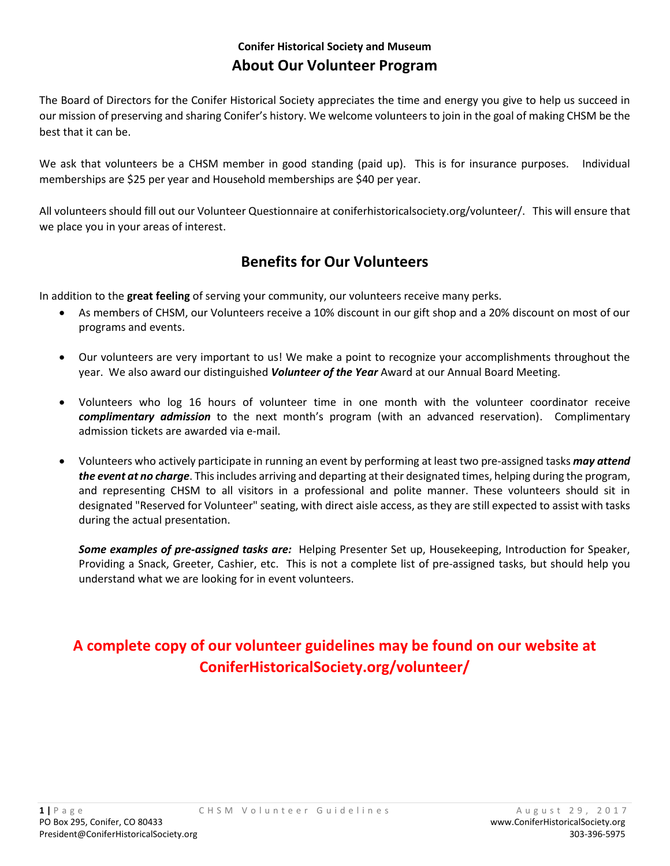# **Conifer Historical Society and Museum About Our Volunteer Program**

The Board of Directors for the Conifer Historical Society appreciates the time and energy you give to help us succeed in our mission of preserving and sharing Conifer's history. We welcome volunteers to join in the goal of making CHSM be the best that it can be.

We ask that volunteers be a CHSM member in good standing (paid up). This is for insurance purposes. Individual memberships are \$25 per year and Household memberships are \$40 per year.

All volunteers should fill out our Volunteer Questionnaire at coniferhistoricalsociety.org/volunteer/. This will ensure that we place you in your areas of interest.

# **Benefits for Our Volunteers**

In addition to the **great feeling** of serving your community, our volunteers receive many perks.

- As members of CHSM, our Volunteers receive a 10% discount in our gift shop and a 20% discount on most of our programs and events.
- Our volunteers are very important to us! We make a point to recognize your accomplishments throughout the year. We also award our distinguished *Volunteer of the Year* Award at our Annual Board Meeting.
- Volunteers who log 16 hours of volunteer time in one month with the volunteer coordinator receive *complimentary admission* to the next month's program (with an advanced reservation). Complimentary admission tickets are awarded via e-mail.
- Volunteers who actively participate in running an event by performing at least two pre-assigned tasks *may attend the event at no charge*. This includes arriving and departing at their designated times, helping during the program, and representing CHSM to all visitors in a professional and polite manner. These volunteers should sit in designated "Reserved for Volunteer" seating, with direct aisle access, as they are still expected to assist with tasks during the actual presentation.

*Some examples of pre-assigned tasks are:* Helping Presenter Set up, Housekeeping, Introduction for Speaker, Providing a Snack, Greeter, Cashier, etc.This is not a complete list of pre-assigned tasks, but should help you understand what we are looking for in event volunteers.

# **A complete copy of our volunteer guidelines may be found on our website at ConiferHistoricalSociety.org/volunteer/**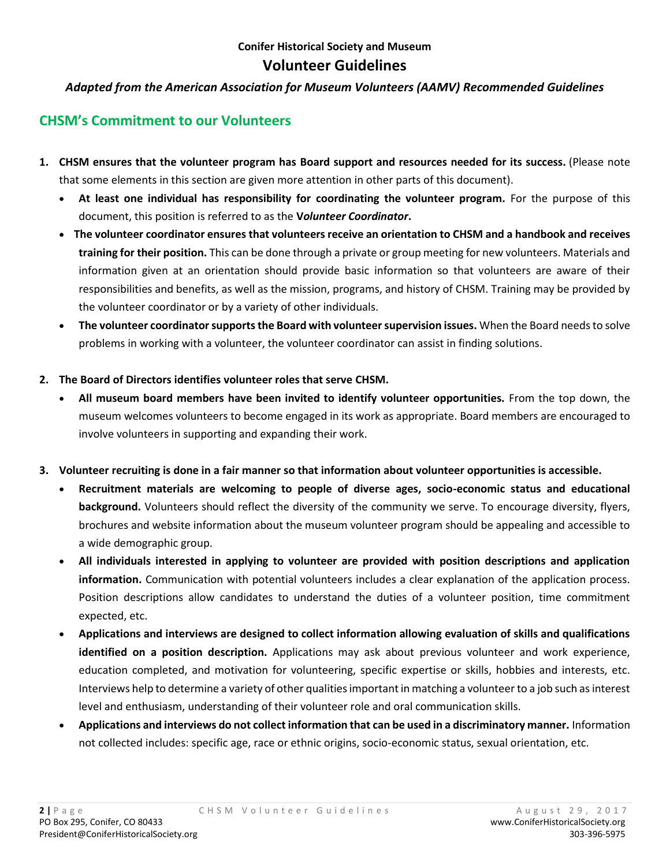### **Conifer Historical Society and Museum Volunteer Guidelines**

#### *Adapted from the American Association for Museum Volunteers (AAMV) Recommended Guidelines*

# **CHSM's Commitment to our Volunteers**

- **1. CHSM ensures that the volunteer program has Board support and resources needed for its success.** (Please note that some elements in this section are given more attention in other parts of this document).
	- **At least one individual has responsibility for coordinating the volunteer program.** For the purpose of this document, this position is referred to as the **V***olunteer Coordinator***.**
	- **The volunteer coordinator ensures that volunteers receive an orientation to CHSM and a handbook and receives training for their position.** This can be done through a private or group meeting for new volunteers. Materials and information given at an orientation should provide basic information so that volunteers are aware of their responsibilities and benefits, as well as the mission, programs, and history of CHSM. Training may be provided by the volunteer coordinator or by a variety of other individuals.
	- **The volunteer coordinator supports the Board with volunteer supervision issues.** When the Board needsto solve problems in working with a volunteer, the volunteer coordinator can assist in finding solutions.
- **2. The Board of Directors identifies volunteer roles that serve CHSM.**
	- **All museum board members have been invited to identify volunteer opportunities.** From the top down, the museum welcomes volunteers to become engaged in its work as appropriate. Board members are encouraged to involve volunteers in supporting and expanding their work.
- **3. Volunteer recruiting is done in a fair manner so that information about volunteer opportunities is accessible.**
	- **Recruitment materials are welcoming to people of diverse ages, socio-economic status and educational background.** Volunteers should reflect the diversity of the community we serve. To encourage diversity, flyers, brochures and website information about the museum volunteer program should be appealing and accessible to a wide demographic group.
	- **All individuals interested in applying to volunteer are provided with position descriptions and application information.** Communication with potential volunteers includes a clear explanation of the application process. Position descriptions allow candidates to understand the duties of a volunteer position, time commitment expected, etc.
	- **Applications and interviews are designed to collect information allowing evaluation of skills and qualifications identified on a position description.** Applications may ask about previous volunteer and work experience, education completed, and motivation for volunteering, specific expertise or skills, hobbies and interests, etc. Interviews help to determine a variety of other qualities important in matching a volunteer to a job such as interest level and enthusiasm, understanding of their volunteer role and oral communication skills.
	- **Applications and interviews do not collect information that can be used in a discriminatory manner.** Information not collected includes: specific age, race or ethnic origins, socio-economic status, sexual orientation, etc.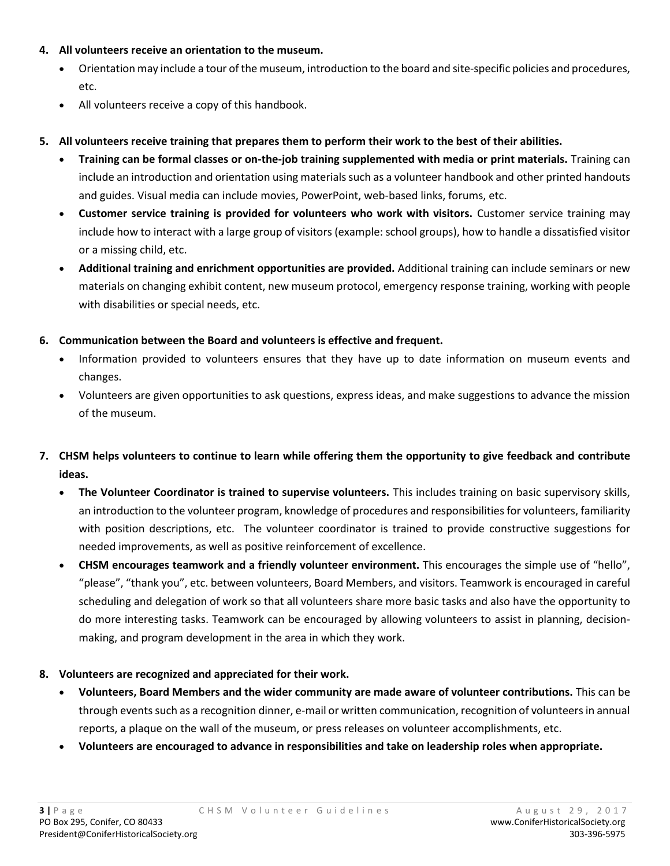#### **4. All volunteers receive an orientation to the museum.**

- Orientation may include a tour of the museum, introduction to the board and site-specific policies and procedures, etc.
- All volunteers receive a copy of this handbook.
- **5. All volunteers receive training that prepares them to perform their work to the best of their abilities.**
	- **Training can be formal classes or on-the-job training supplemented with media or print materials.** Training can include an introduction and orientation using materials such as a volunteer handbook and other printed handouts and guides. Visual media can include movies, PowerPoint, web-based links, forums, etc.
	- **Customer service training is provided for volunteers who work with visitors.** Customer service training may include how to interact with a large group of visitors (example: school groups), how to handle a dissatisfied visitor or a missing child, etc.
	- **Additional training and enrichment opportunities are provided.** Additional training can include seminars or new materials on changing exhibit content, new museum protocol, emergency response training, working with people with disabilities or special needs, etc.

#### **6. Communication between the Board and volunteers is effective and frequent.**

- Information provided to volunteers ensures that they have up to date information on museum events and changes.
- Volunteers are given opportunities to ask questions, express ideas, and make suggestions to advance the mission of the museum.

# **7. CHSM helps volunteers to continue to learn while offering them the opportunity to give feedback and contribute ideas.**

- **The Volunteer Coordinator is trained to supervise volunteers.** This includes training on basic supervisory skills, an introduction to the volunteer program, knowledge of procedures and responsibilities for volunteers, familiarity with position descriptions, etc. The volunteer coordinator is trained to provide constructive suggestions for needed improvements, as well as positive reinforcement of excellence.
- **CHSM encourages teamwork and a friendly volunteer environment.** This encourages the simple use of "hello", "please", "thank you", etc. between volunteers, Board Members, and visitors. Teamwork is encouraged in careful scheduling and delegation of work so that all volunteers share more basic tasks and also have the opportunity to do more interesting tasks. Teamwork can be encouraged by allowing volunteers to assist in planning, decisionmaking, and program development in the area in which they work.

#### **8. Volunteers are recognized and appreciated for their work.**

- **Volunteers, Board Members and the wider community are made aware of volunteer contributions.** This can be through events such as a recognition dinner, e-mail or written communication, recognition of volunteers in annual reports, a plaque on the wall of the museum, or press releases on volunteer accomplishments, etc.
- **Volunteers are encouraged to advance in responsibilities and take on leadership roles when appropriate.**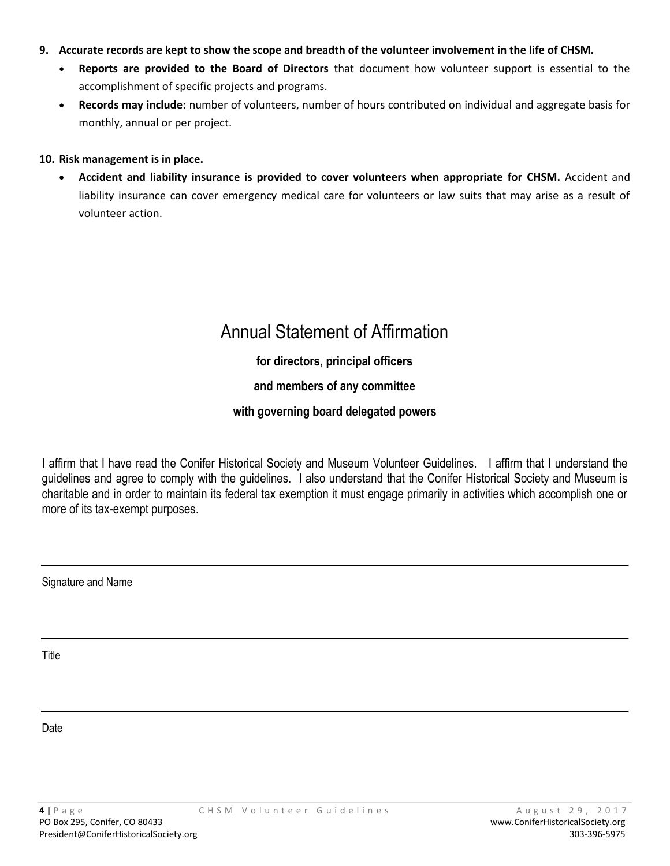- **9. Accurate records are kept to show the scope and breadth of the volunteer involvement in the life of CHSM.**
	- **Reports are provided to the Board of Directors** that document how volunteer support is essential to the accomplishment of specific projects and programs.
	- **Records may include:** number of volunteers, number of hours contributed on individual and aggregate basis for monthly, annual or per project.

#### **10. Risk management is in place.**

• **Accident and liability insurance is provided to cover volunteers when appropriate for CHSM.** Accident and liability insurance can cover emergency medical care for volunteers or law suits that may arise as a result of volunteer action.

# Annual Statement of Affirmation

# **for directors, principal officers**

# **and members of any committee**

### **with governing board delegated powers**

I affirm that I have read the Conifer Historical Society and Museum Volunteer Guidelines. I affirm that I understand the guidelines and agree to comply with the guidelines. I also understand that the Conifer Historical Society and Museum is charitable and in order to maintain its federal tax exemption it must engage primarily in activities which accomplish one or more of its tax-exempt purposes.

Signature and Name

Title

Date